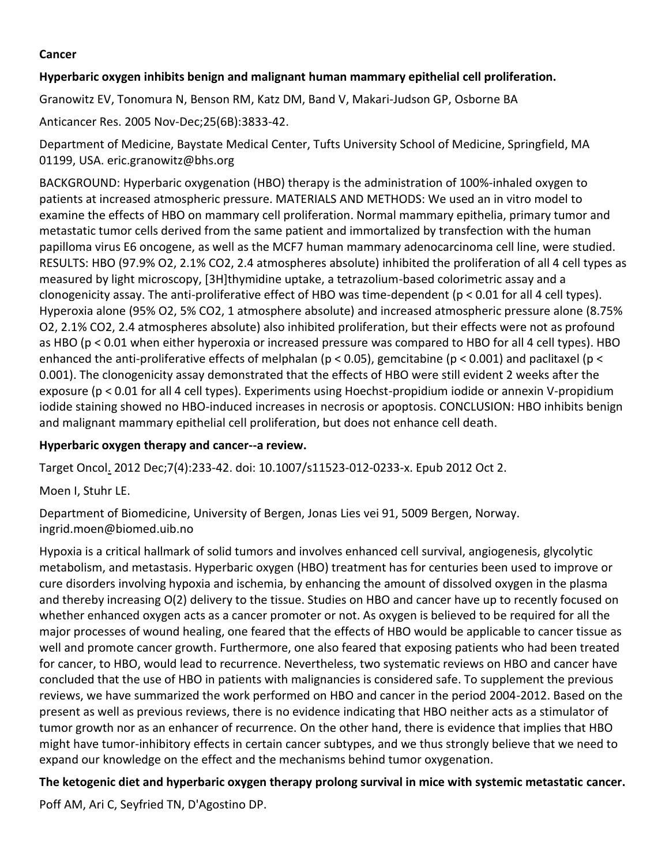### **Cancer**

### **Hyperbaric oxygen inhibits benign and malignant human mammary epithelial cell proliferation.**

[Granowitz EV,](http://www.ncbi.nlm.nih.gov/entrez/query.fcgi?db=pubmed&cmd=Search&itool=pubmed_AbstractPlus&term=%22Granowitz+EV%22%5BAuthor%5D) [Tonomura N,](http://www.ncbi.nlm.nih.gov/entrez/query.fcgi?db=pubmed&cmd=Search&itool=pubmed_AbstractPlus&term=%22Tonomura+N%22%5BAuthor%5D) [Benson RM,](http://www.ncbi.nlm.nih.gov/entrez/query.fcgi?db=pubmed&cmd=Search&itool=pubmed_AbstractPlus&term=%22Benson+RM%22%5BAuthor%5D) [Katz DM,](http://www.ncbi.nlm.nih.gov/entrez/query.fcgi?db=pubmed&cmd=Search&itool=pubmed_AbstractPlus&term=%22Katz+DM%22%5BAuthor%5D) [Band V,](http://www.ncbi.nlm.nih.gov/entrez/query.fcgi?db=pubmed&cmd=Search&itool=pubmed_AbstractPlus&term=%22Band+V%22%5BAuthor%5D) [Makari-Judson GP,](http://www.ncbi.nlm.nih.gov/entrez/query.fcgi?db=pubmed&cmd=Search&itool=pubmed_AbstractPlus&term=%22Makari%2DJudson+GP%22%5BAuthor%5D) [Osborne BA](http://www.ncbi.nlm.nih.gov/entrez/query.fcgi?db=pubmed&cmd=Search&itool=pubmed_AbstractPlus&term=%22Osborne+BA%22%5BAuthor%5D)

Anticancer Res. 2005 Nov-Dec;25(6B):3833-42.

Department of Medicine, Baystate Medical Center, Tufts University School of Medicine, Springfield, MA 01199, USA. eric.granowitz@bhs.org

BACKGROUND: Hyperbaric oxygenation (HBO) therapy is the administration of 100%-inhaled oxygen to patients at increased atmospheric pressure. MATERIALS AND METHODS: We used an in vitro model to examine the effects of HBO on mammary cell proliferation. Normal mammary epithelia, primary tumor and metastatic tumor cells derived from the same patient and immortalized by transfection with the human papilloma virus E6 oncogene, as well as the MCF7 human mammary adenocarcinoma cell line, were studied. RESULTS: HBO (97.9% O2, 2.1% CO2, 2.4 atmospheres absolute) inhibited the proliferation of all 4 cell types as measured by light microscopy, [3H]thymidine uptake, a tetrazolium-based colorimetric assay and a clonogenicity assay. The anti-proliferative effect of HBO was time-dependent (p < 0.01 for all 4 cell types). Hyperoxia alone (95% O2, 5% CO2, 1 atmosphere absolute) and increased atmospheric pressure alone (8.75% O2, 2.1% CO2, 2.4 atmospheres absolute) also inhibited proliferation, but their effects were not as profound as HBO (p < 0.01 when either hyperoxia or increased pressure was compared to HBO for all 4 cell types). HBO enhanced the anti-proliferative effects of melphalan (p < 0.05), gemcitabine (p < 0.001) and paclitaxel (p < 0.001). The clonogenicity assay demonstrated that the effects of HBO were still evident 2 weeks after the exposure (p < 0.01 for all 4 cell types). Experiments using Hoechst-propidium iodide or annexin V-propidium iodide staining showed no HBO-induced increases in necrosis or apoptosis. CONCLUSION: HBO inhibits benign and malignant mammary epithelial cell proliferation, but does not enhance cell death.

# **Hyperbaric oxygen therapy and cancer--a review.**

Target Oncol. 2012 Dec;7(4):233-42. doi: 10.1007/s11523-012-0233-x. Epub 2012 Oct 2.

Moen I, Stuhr LE.

Department of Biomedicine, University of Bergen, Jonas Lies vei 91, 5009 Bergen, Norway. ingrid.moen@biomed.uib.no

Hypoxia is a critical hallmark of solid tumors and involves enhanced cell survival, angiogenesis, glycolytic metabolism, and metastasis. Hyperbaric oxygen (HBO) treatment has for centuries been used to improve or cure disorders involving hypoxia and ischemia, by enhancing the amount of dissolved oxygen in the plasma and thereby increasing O(2) delivery to the tissue. Studies on HBO and cancer have up to recently focused on whether enhanced oxygen acts as a cancer promoter or not. As oxygen is believed to be required for all the major processes of wound healing, one feared that the effects of HBO would be applicable to cancer tissue as well and promote cancer growth. Furthermore, one also feared that exposing patients who had been treated for cancer, to HBO, would lead to recurrence. Nevertheless, two systematic reviews on HBO and cancer have concluded that the use of HBO in patients with malignancies is considered safe. To supplement the previous reviews, we have summarized the work performed on HBO and cancer in the period 2004-2012. Based on the present as well as previous reviews, there is no evidence indicating that HBO neither acts as a stimulator of tumor growth nor as an enhancer of recurrence. On the other hand, there is evidence that implies that HBO might have tumor-inhibitory effects in certain cancer subtypes, and we thus strongly believe that we need to expand our knowledge on the effect and the mechanisms behind tumor oxygenation.

**The ketogenic diet and hyperbaric oxygen therapy prolong survival in mice with systemic metastatic cancer.**

Poff AM, Ari C, Seyfried TN, D'Agostino DP.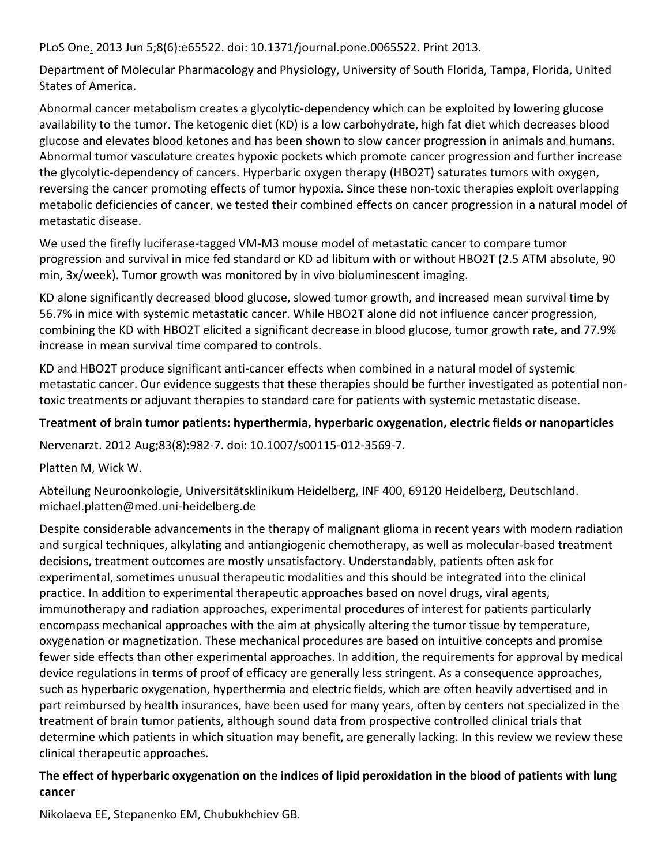[PLoS One.](http://www.ncbi.nlm.nih.gov/pubmed/23755243) 2013 Jun 5;8(6):e65522. doi: 10.1371/journal.pone.0065522. Print 2013.

Department of Molecular Pharmacology and Physiology, University of South Florida, Tampa, Florida, United States of America.

Abnormal cancer metabolism creates a glycolytic-dependency which can be exploited by lowering glucose availability to the tumor. The ketogenic diet (KD) is a low carbohydrate, high fat diet which decreases blood glucose and elevates blood ketones and has been shown to slow cancer progression in animals and humans. Abnormal tumor vasculature creates hypoxic pockets which promote cancer progression and further increase the glycolytic-dependency of cancers. Hyperbaric oxygen therapy (HBO2T) saturates tumors with oxygen, reversing the cancer promoting effects of tumor hypoxia. Since these non-toxic therapies exploit overlapping metabolic deficiencies of cancer, we tested their combined effects on cancer progression in a natural model of metastatic disease.

We used the firefly luciferase-tagged VM-M3 mouse model of metastatic cancer to compare tumor progression and survival in mice fed standard or KD ad libitum with or without HBO2T (2.5 ATM absolute, 90 min, 3x/week). Tumor growth was monitored by in vivo bioluminescent imaging.

KD alone significantly decreased blood glucose, slowed tumor growth, and increased mean survival time by 56.7% in mice with systemic metastatic cancer. While HBO2T alone did not influence cancer progression, combining the KD with HBO2T elicited a significant decrease in blood glucose, tumor growth rate, and 77.9% increase in mean survival time compared to controls.

KD and HBO2T produce significant anti-cancer effects when combined in a natural model of systemic metastatic cancer. Our evidence suggests that these therapies should be further investigated as potential nontoxic treatments or adjuvant therapies to standard care for patients with systemic metastatic disease.

# **Treatment of brain tumor patients: hyperthermia, hyperbaric oxygenation, electric fields or nanoparticles**

[Nervenarzt.](http://www.ncbi.nlm.nih.gov/pubmed/22801663) 2012 Aug;83(8):982-7. doi: 10.1007/s00115-012-3569-7.

Platten M, Wick W.

Abteilung Neuroonkologie, Universitätsklinikum Heidelberg, INF 400, 69120 Heidelberg, Deutschland. michael.platten@med.uni-heidelberg.de

Despite considerable advancements in the therapy of malignant glioma in recent years with modern radiation and surgical techniques, alkylating and antiangiogenic chemotherapy, as well as molecular-based treatment decisions, treatment outcomes are mostly unsatisfactory. Understandably, patients often ask for experimental, sometimes unusual therapeutic modalities and this should be integrated into the clinical practice. In addition to experimental therapeutic approaches based on novel drugs, viral agents, immunotherapy and radiation approaches, experimental procedures of interest for patients particularly encompass mechanical approaches with the aim at physically altering the tumor tissue by temperature, oxygenation or magnetization. These mechanical procedures are based on intuitive concepts and promise fewer side effects than other experimental approaches. In addition, the requirements for approval by medical device regulations in terms of proof of efficacy are generally less stringent. As a consequence approaches, such as hyperbaric oxygenation, hyperthermia and electric fields, which are often heavily advertised and in part reimbursed by health insurances, have been used for many years, often by centers not specialized in the treatment of brain tumor patients, although sound data from prospective controlled clinical trials that determine which patients in which situation may benefit, are generally lacking. In this review we review these clinical therapeutic approaches.

# **The effect of hyperbaric oxygenation on the indices of lipid peroxidation in the blood of patients with lung cancer**

Nikolaeva EE, Stepanenko EM, Chubukhchiev GB.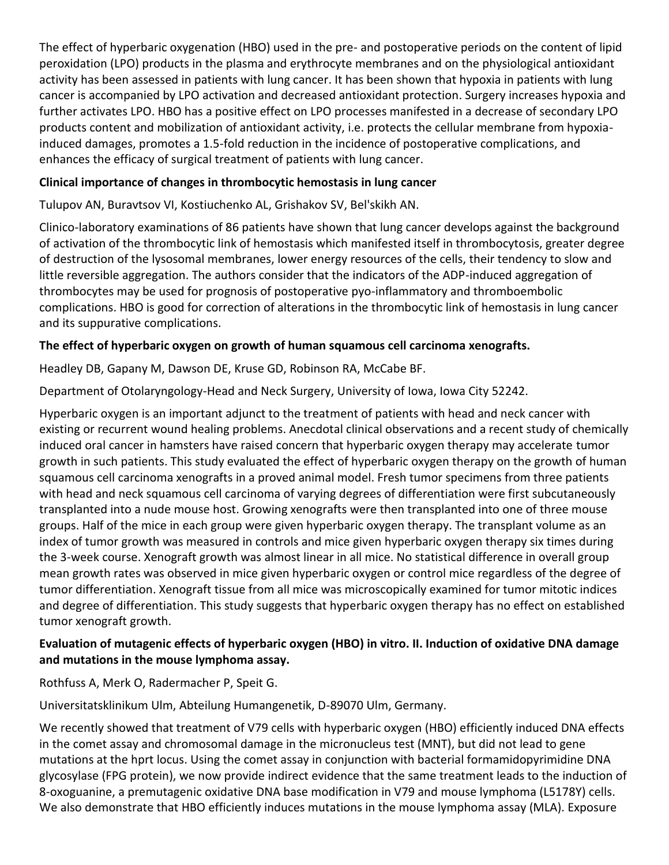The effect of hyperbaric oxygenation (HBO) used in the pre- and postoperative periods on the content of lipid peroxidation (LPO) products in the plasma and erythrocyte membranes and on the physiological antioxidant activity has been assessed in patients with lung cancer. It has been shown that hypoxia in patients with lung cancer is accompanied by LPO activation and decreased antioxidant protection. Surgery increases hypoxia and further activates LPO. HBO has a positive effect on LPO processes manifested in a decrease of secondary LPO products content and mobilization of antioxidant activity, i.e. protects the cellular membrane from hypoxiainduced damages, promotes a 1.5-fold reduction in the incidence of postoperative complications, and enhances the efficacy of surgical treatment of patients with lung cancer.

### **Clinical importance of changes in thrombocytic hemostasis in lung cancer**

Tulupov AN, Buravtsov VI, Kostiuchenko AL, Grishakov SV, Bel'skikh AN.

Clinico-laboratory examinations of 86 patients have shown that lung cancer develops against the background of activation of the thrombocytic link of hemostasis which manifested itself in thrombocytosis, greater degree of destruction of the lysosomal membranes, lower energy resources of the cells, their tendency to slow and little reversible aggregation. The authors consider that the indicators of the ADP-induced aggregation of thrombocytes may be used for prognosis of postoperative pyo-inflammatory and thromboembolic complications. HBO is good for correction of alterations in the thrombocytic link of hemostasis in lung cancer and its suppurative complications.

# **The effect of hyperbaric oxygen on growth of human squamous cell carcinoma xenografts.**

Headley DB, Gapany M, Dawson DE, Kruse GD, Robinson RA, McCabe BF.

Department of Otolaryngology-Head and Neck Surgery, University of Iowa, Iowa City 52242.

Hyperbaric oxygen is an important adjunct to the treatment of patients with head and neck cancer with existing or recurrent wound healing problems. Anecdotal clinical observations and a recent study of chemically induced oral cancer in hamsters have raised concern that hyperbaric oxygen therapy may accelerate tumor growth in such patients. This study evaluated the effect of hyperbaric oxygen therapy on the growth of human squamous cell carcinoma xenografts in a proved animal model. Fresh tumor specimens from three patients with head and neck squamous cell carcinoma of varying degrees of differentiation were first subcutaneously transplanted into a nude mouse host. Growing xenografts were then transplanted into one of three mouse groups. Half of the mice in each group were given hyperbaric oxygen therapy. The transplant volume as an index of tumor growth was measured in controls and mice given hyperbaric oxygen therapy six times during the 3-week course. Xenograft growth was almost linear in all mice. No statistical difference in overall group mean growth rates was observed in mice given hyperbaric oxygen or control mice regardless of the degree of tumor differentiation. Xenograft tissue from all mice was microscopically examined for tumor mitotic indices and degree of differentiation. This study suggests that hyperbaric oxygen therapy has no effect on established tumor xenograft growth.

# **Evaluation of mutagenic effects of hyperbaric oxygen (HBO) in vitro. II. Induction of oxidative DNA damage and mutations in the mouse lymphoma assay.**

Rothfuss A, Merk O, Radermacher P, Speit G.

Universitatsklinikum Ulm, Abteilung Humangenetik, D-89070 Ulm, Germany.

We recently showed that treatment of V79 cells with hyperbaric oxygen (HBO) efficiently induced DNA effects in the comet assay and chromosomal damage in the micronucleus test (MNT), but did not lead to gene mutations at the hprt locus. Using the comet assay in conjunction with bacterial formamidopyrimidine DNA glycosylase (FPG protein), we now provide indirect evidence that the same treatment leads to the induction of 8-oxoguanine, a premutagenic oxidative DNA base modification in V79 and mouse lymphoma (L5178Y) cells. We also demonstrate that HBO efficiently induces mutations in the mouse lymphoma assay (MLA). Exposure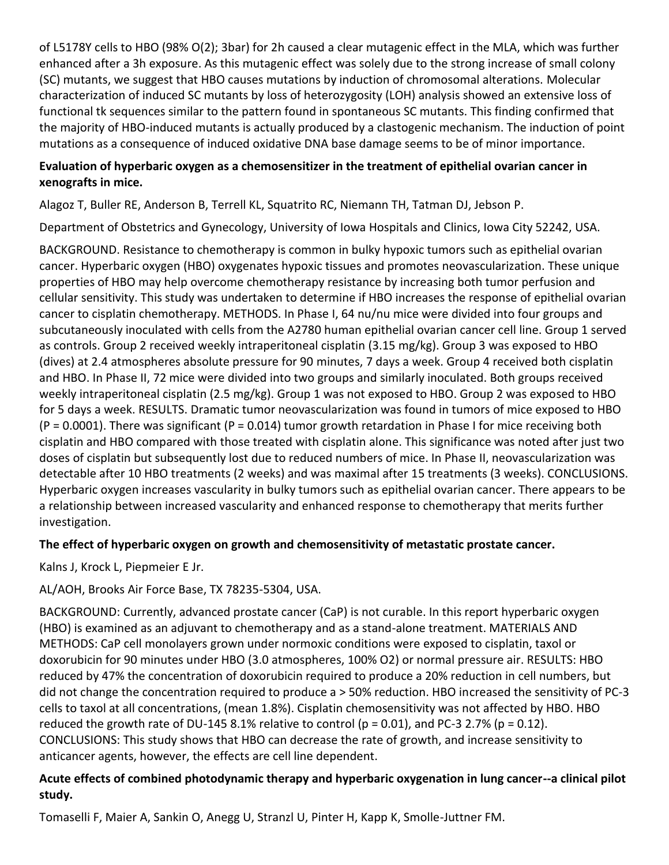of L5178Y cells to HBO (98% O(2); 3bar) for 2h caused a clear mutagenic effect in the MLA, which was further enhanced after a 3h exposure. As this mutagenic effect was solely due to the strong increase of small colony (SC) mutants, we suggest that HBO causes mutations by induction of chromosomal alterations. Molecular characterization of induced SC mutants by loss of heterozygosity (LOH) analysis showed an extensive loss of functional tk sequences similar to the pattern found in spontaneous SC mutants. This finding confirmed that the majority of HBO-induced mutants is actually produced by a clastogenic mechanism. The induction of point mutations as a consequence of induced oxidative DNA base damage seems to be of minor importance.

### **Evaluation of hyperbaric oxygen as a chemosensitizer in the treatment of epithelial ovarian cancer in xenografts in mice.**

Alagoz T, Buller RE, Anderson B, Terrell KL, Squatrito RC, Niemann TH, Tatman DJ, Jebson P.

Department of Obstetrics and Gynecology, University of Iowa Hospitals and Clinics, Iowa City 52242, USA.

BACKGROUND. Resistance to chemotherapy is common in bulky hypoxic tumors such as epithelial ovarian cancer. Hyperbaric oxygen (HBO) oxygenates hypoxic tissues and promotes neovascularization. These unique properties of HBO may help overcome chemotherapy resistance by increasing both tumor perfusion and cellular sensitivity. This study was undertaken to determine if HBO increases the response of epithelial ovarian cancer to cisplatin chemotherapy. METHODS. In Phase I, 64 nu/nu mice were divided into four groups and subcutaneously inoculated with cells from the A2780 human epithelial ovarian cancer cell line. Group 1 served as controls. Group 2 received weekly intraperitoneal cisplatin (3.15 mg/kg). Group 3 was exposed to HBO (dives) at 2.4 atmospheres absolute pressure for 90 minutes, 7 days a week. Group 4 received both cisplatin and HBO. In Phase II, 72 mice were divided into two groups and similarly inoculated. Both groups received weekly intraperitoneal cisplatin (2.5 mg/kg). Group 1 was not exposed to HBO. Group 2 was exposed to HBO for 5 days a week. RESULTS. Dramatic tumor neovascularization was found in tumors of mice exposed to HBO  $(P = 0.0001)$ . There was significant  $(P = 0.014)$  tumor growth retardation in Phase I for mice receiving both cisplatin and HBO compared with those treated with cisplatin alone. This significance was noted after just two doses of cisplatin but subsequently lost due to reduced numbers of mice. In Phase II, neovascularization was detectable after 10 HBO treatments (2 weeks) and was maximal after 15 treatments (3 weeks). CONCLUSIONS. Hyperbaric oxygen increases vascularity in bulky tumors such as epithelial ovarian cancer. There appears to be a relationship between increased vascularity and enhanced response to chemotherapy that merits further investigation.

### **The effect of hyperbaric oxygen on growth and chemosensitivity of metastatic prostate cancer.**

Kalns J, Krock L, Piepmeier E Jr.

### AL/AOH, Brooks Air Force Base, TX 78235-5304, USA.

BACKGROUND: Currently, advanced prostate cancer (CaP) is not curable. In this report hyperbaric oxygen (HBO) is examined as an adjuvant to chemotherapy and as a stand-alone treatment. MATERIALS AND METHODS: CaP cell monolayers grown under normoxic conditions were exposed to cisplatin, taxol or doxorubicin for 90 minutes under HBO (3.0 atmospheres, 100% O2) or normal pressure air. RESULTS: HBO reduced by 47% the concentration of doxorubicin required to produce a 20% reduction in cell numbers, but did not change the concentration required to produce a > 50% reduction. HBO increased the sensitivity of PC-3 cells to taxol at all concentrations, (mean 1.8%). Cisplatin chemosensitivity was not affected by HBO. HBO reduced the growth rate of DU-145 8.1% relative to control ( $p = 0.01$ ), and PC-3 2.7% ( $p = 0.12$ ). CONCLUSIONS: This study shows that HBO can decrease the rate of growth, and increase sensitivity to anticancer agents, however, the effects are cell line dependent.

# **Acute effects of combined photodynamic therapy and hyperbaric oxygenation in lung cancer--a clinical pilot study.**

Tomaselli F, Maier A, Sankin O, Anegg U, Stranzl U, Pinter H, Kapp K, Smolle-Juttner FM.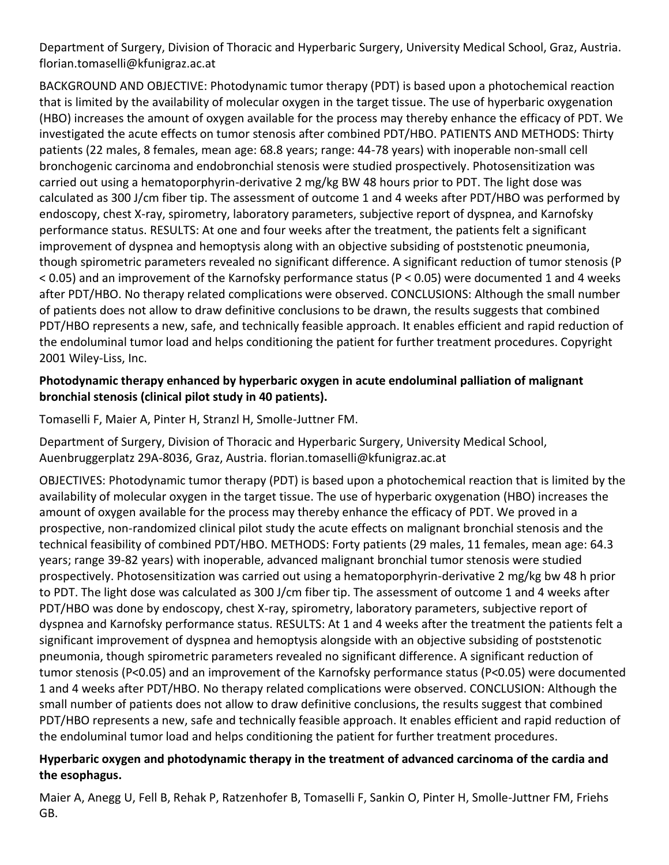Department of Surgery, Division of Thoracic and Hyperbaric Surgery, University Medical School, Graz, Austria. florian.tomaselli@kfunigraz.ac.at

BACKGROUND AND OBJECTIVE: Photodynamic tumor therapy (PDT) is based upon a photochemical reaction that is limited by the availability of molecular oxygen in the target tissue. The use of hyperbaric oxygenation (HBO) increases the amount of oxygen available for the process may thereby enhance the efficacy of PDT. We investigated the acute effects on tumor stenosis after combined PDT/HBO. PATIENTS AND METHODS: Thirty patients (22 males, 8 females, mean age: 68.8 years; range: 44-78 years) with inoperable non-small cell bronchogenic carcinoma and endobronchial stenosis were studied prospectively. Photosensitization was carried out using a hematoporphyrin-derivative 2 mg/kg BW 48 hours prior to PDT. The light dose was calculated as 300 J/cm fiber tip. The assessment of outcome 1 and 4 weeks after PDT/HBO was performed by endoscopy, chest X-ray, spirometry, laboratory parameters, subjective report of dyspnea, and Karnofsky performance status. RESULTS: At one and four weeks after the treatment, the patients felt a significant improvement of dyspnea and hemoptysis along with an objective subsiding of poststenotic pneumonia, though spirometric parameters revealed no significant difference. A significant reduction of tumor stenosis (P < 0.05) and an improvement of the Karnofsky performance status (P < 0.05) were documented 1 and 4 weeks after PDT/HBO. No therapy related complications were observed. CONCLUSIONS: Although the small number of patients does not allow to draw definitive conclusions to be drawn, the results suggests that combined PDT/HBO represents a new, safe, and technically feasible approach. It enables efficient and rapid reduction of the endoluminal tumor load and helps conditioning the patient for further treatment procedures. Copyright 2001 Wiley-Liss, Inc.

#### **Photodynamic therapy enhanced by hyperbaric oxygen in acute endoluminal palliation of malignant bronchial stenosis (clinical pilot study in 40 patients).**

Tomaselli F, Maier A, Pinter H, Stranzl H, Smolle-Juttner FM.

Department of Surgery, Division of Thoracic and Hyperbaric Surgery, University Medical School, Auenbruggerplatz 29A-8036, Graz, Austria. florian.tomaselli@kfunigraz.ac.at

OBJECTIVES: Photodynamic tumor therapy (PDT) is based upon a photochemical reaction that is limited by the availability of molecular oxygen in the target tissue. The use of hyperbaric oxygenation (HBO) increases the amount of oxygen available for the process may thereby enhance the efficacy of PDT. We proved in a prospective, non-randomized clinical pilot study the acute effects on malignant bronchial stenosis and the technical feasibility of combined PDT/HBO. METHODS: Forty patients (29 males, 11 females, mean age: 64.3 years; range 39-82 years) with inoperable, advanced malignant bronchial tumor stenosis were studied prospectively. Photosensitization was carried out using a hematoporphyrin-derivative 2 mg/kg bw 48 h prior to PDT. The light dose was calculated as 300 J/cm fiber tip. The assessment of outcome 1 and 4 weeks after PDT/HBO was done by endoscopy, chest X-ray, spirometry, laboratory parameters, subjective report of dyspnea and Karnofsky performance status. RESULTS: At 1 and 4 weeks after the treatment the patients felt a significant improvement of dyspnea and hemoptysis alongside with an objective subsiding of poststenotic pneumonia, though spirometric parameters revealed no significant difference. A significant reduction of tumor stenosis (P<0.05) and an improvement of the Karnofsky performance status (P<0.05) were documented 1 and 4 weeks after PDT/HBO. No therapy related complications were observed. CONCLUSION: Although the small number of patients does not allow to draw definitive conclusions, the results suggest that combined PDT/HBO represents a new, safe and technically feasible approach. It enables efficient and rapid reduction of the endoluminal tumor load and helps conditioning the patient for further treatment procedures.

### **Hyperbaric oxygen and photodynamic therapy in the treatment of advanced carcinoma of the cardia and the esophagus.**

Maier A, Anegg U, Fell B, Rehak P, Ratzenhofer B, Tomaselli F, Sankin O, Pinter H, Smolle-Juttner FM, Friehs GB.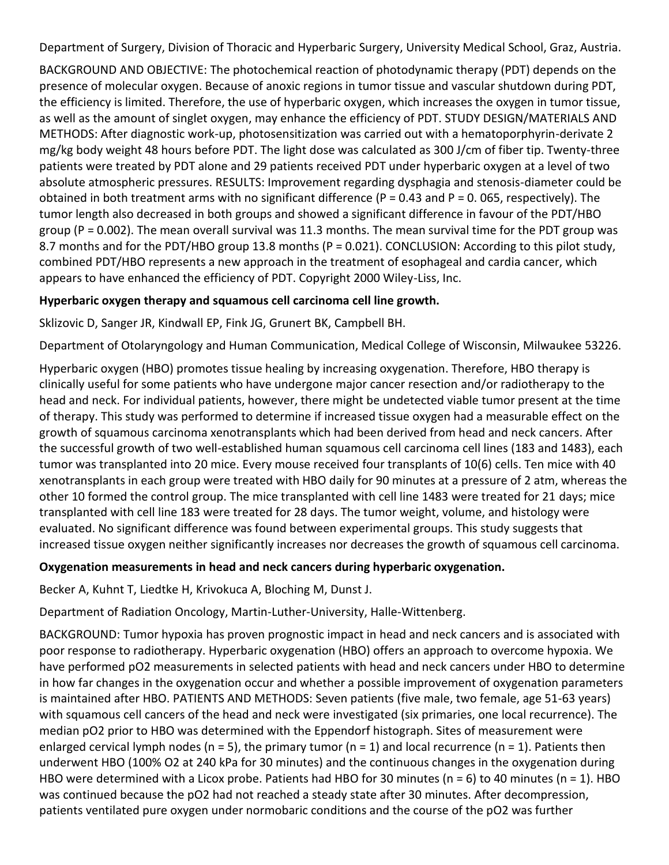Department of Surgery, Division of Thoracic and Hyperbaric Surgery, University Medical School, Graz, Austria.

BACKGROUND AND OBJECTIVE: The photochemical reaction of photodynamic therapy (PDT) depends on the presence of molecular oxygen. Because of anoxic regions in tumor tissue and vascular shutdown during PDT, the efficiency is limited. Therefore, the use of hyperbaric oxygen, which increases the oxygen in tumor tissue, as well as the amount of singlet oxygen, may enhance the efficiency of PDT. STUDY DESIGN/MATERIALS AND METHODS: After diagnostic work-up, photosensitization was carried out with a hematoporphyrin-derivate 2 mg/kg body weight 48 hours before PDT. The light dose was calculated as 300 J/cm of fiber tip. Twenty-three patients were treated by PDT alone and 29 patients received PDT under hyperbaric oxygen at a level of two absolute atmospheric pressures. RESULTS: Improvement regarding dysphagia and stenosis-diameter could be obtained in both treatment arms with no significant difference ( $P = 0.43$  and  $P = 0.065$ , respectively). The tumor length also decreased in both groups and showed a significant difference in favour of the PDT/HBO group (P = 0.002). The mean overall survival was 11.3 months. The mean survival time for the PDT group was 8.7 months and for the PDT/HBO group 13.8 months (P = 0.021). CONCLUSION: According to this pilot study, combined PDT/HBO represents a new approach in the treatment of esophageal and cardia cancer, which appears to have enhanced the efficiency of PDT. Copyright 2000 Wiley-Liss, Inc.

# **Hyperbaric oxygen therapy and squamous cell carcinoma cell line growth.**

Sklizovic D, Sanger JR, Kindwall EP, Fink JG, Grunert BK, Campbell BH.

Department of Otolaryngology and Human Communication, Medical College of Wisconsin, Milwaukee 53226.

Hyperbaric oxygen (HBO) promotes tissue healing by increasing oxygenation. Therefore, HBO therapy is clinically useful for some patients who have undergone major cancer resection and/or radiotherapy to the head and neck. For individual patients, however, there might be undetected viable tumor present at the time of therapy. This study was performed to determine if increased tissue oxygen had a measurable effect on the growth of squamous carcinoma xenotransplants which had been derived from head and neck cancers. After the successful growth of two well-established human squamous cell carcinoma cell lines (183 and 1483), each tumor was transplanted into 20 mice. Every mouse received four transplants of 10(6) cells. Ten mice with 40 xenotransplants in each group were treated with HBO daily for 90 minutes at a pressure of 2 atm, whereas the other 10 formed the control group. The mice transplanted with cell line 1483 were treated for 21 days; mice transplanted with cell line 183 were treated for 28 days. The tumor weight, volume, and histology were evaluated. No significant difference was found between experimental groups. This study suggests that increased tissue oxygen neither significantly increases nor decreases the growth of squamous cell carcinoma.

### **Oxygenation measurements in head and neck cancers during hyperbaric oxygenation.**

Becker A, Kuhnt T, Liedtke H, Krivokuca A, Bloching M, Dunst J.

Department of Radiation Oncology, Martin-Luther-University, Halle-Wittenberg.

BACKGROUND: Tumor hypoxia has proven prognostic impact in head and neck cancers and is associated with poor response to radiotherapy. Hyperbaric oxygenation (HBO) offers an approach to overcome hypoxia. We have performed pO2 measurements in selected patients with head and neck cancers under HBO to determine in how far changes in the oxygenation occur and whether a possible improvement of oxygenation parameters is maintained after HBO. PATIENTS AND METHODS: Seven patients (five male, two female, age 51-63 years) with squamous cell cancers of the head and neck were investigated (six primaries, one local recurrence). The median pO2 prior to HBO was determined with the Eppendorf histograph. Sites of measurement were enlarged cervical lymph nodes (n = 5), the primary tumor (n = 1) and local recurrence (n = 1). Patients then underwent HBO (100% O2 at 240 kPa for 30 minutes) and the continuous changes in the oxygenation during HBO were determined with a Licox probe. Patients had HBO for 30 minutes ( $n = 6$ ) to 40 minutes ( $n = 1$ ). HBO was continued because the pO2 had not reached a steady state after 30 minutes. After decompression, patients ventilated pure oxygen under normobaric conditions and the course of the pO2 was further